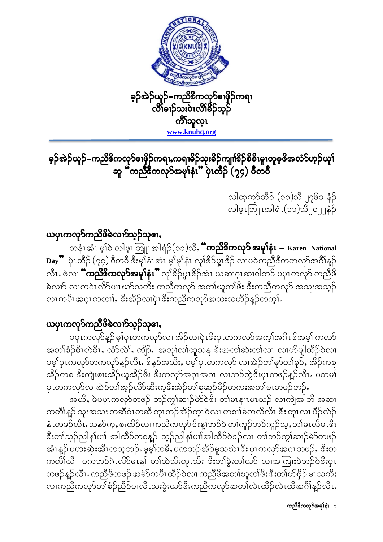

# ခ့ဉ်အဲဉ်ယူဉ်–ကညီဒီကလု၁်စၢဖိုဉ်ကရၢႇကရၢခိဉ်သုးခိဉ်ကျၢါ်ဒိဉ်စိစီ၊မူ၊တူစ့ဖိအလံ၁်ဟ့ဉ်ယု۱်<br>ဆူ "ကညီဒီကလု၁်အမုၢိနံ၊" ပုံ၊ထိဉ် (၇၄) ဝိတဝိ

လါထ့ကူာ်ထိဉ် (၁၁)သီ ၂၇၆၁ နံဉ် လါဖွၤဘြူၤအါရံၤ(၁၁)သိ၂၀၂၂နံ့ဉ်

### ယပုၤကလုၥ်ကညီဖိခဲလၢာ်သူဉ်သုဓၢ,

တနံၤအံၤမု်ဝဲ လါဖ့ၤဘြူၤအါရံဉ်(၁၁)သိ**, "ကညီဒိကလု>် အမုໂနံၤ –** Karen National Day ပြင်တိုင် (၇၄) ဝိတဝိ ဒီးမုန်း အံၤ မ့်မုန်း လုံးဒိဉ်ပွာနိဉ် လျှပဝဲကညီနီတကလုာအင်္ဂါန္ လီၤႉ ဖဲလၢ **"ကညီဒီကလုဉ်အမု)်နံၤ"** လုုံဒိုဠိပူးဒိုဉ်အံၤ ယဆၢဂူးဆၢဝါဘဉ် ပပုၤကလုဉ် ကညီဖိ ခဲလက် လ၊ကဂဲၤလိ>်ပၢၤဃာ်သကိႏ ကညီကလုာ် အတၢ်ယူတၢ်ဖိး ဒီးကညီကလုာ် အသူးအသုဉ် လၤကပီၤအဂ္ဂၤကတၢါ, ဒီးအိဉ်လၢပုံၤဒီးကညီကလုာ်အသးသဟိဉ်နဉ်တက္နါ.

### ယၦၤကလုၥ်ကညီဖိခဲလၢာ်သူဉ်သုဓၢ,

.<br>ပပုၤကလုာ်နူဉ် မ့ၢိပုၤတကလုာ်လၢ အိဉ်လၢပှဲၤဒီးပှၤတကလုာ်အတုၢ်အဂိၤ ဒ်အမ္ါ၊ ကလုာ် အတၢ်စံဉ်စိၤတဲစိၤ, လံာ်လဲ၊်, ကျိာ်, အလု၊်လ၊်ထူသနူ ဒီးအတၢ်ဆဲးတ၊်လၤ လၢဟ်ဖျါထိဉ်ဝဲလ၊ ပမ့ၢ်ပှၤကလုာ်တကလုာ်နူဉ်လီၤႉ ဒ်န္နာ်အသိးႇ ပမ့ၢ်ပှၤတကလုာ် လၢအဲဉ်တၢ်မုာ်တၢ်ခုဉ်ႇ အိဉ်ကစု အိဉ်ကစု ဒီးကျဲးစၢးအိဉ်ယူအိဉ်ဖိး ဒီးကလုာ်အဂုၤအဂၤ လၢဘဉ်ထွဲဒီးပှၤတဖဉ်နဉ်လီၤ. ပတမ့<mark>်</mark>၊ ပုၤတကလုာ်လၢအဲဉ်တၢ်အ့ဉ်လိာ်ဆိးက့ဒီးအဲဉ်တၢ်စုဆူဉ်ခိဉ်တကးအတၢ်မၤတဖဉ်ဘဉ်ႉ

အယိႇ ဖဲပပုၤကလုာ်တဖဉ် ဘဉ်ကွၤ်ဆၤှာ်မဲာ်ဝဲဒီး တၤ်မၤနၢၤမၤယဉ် လၢကျဲအါဘိ အဆၤ ကတိၢိန္ဉာ် သုးအသး တဆီဝံၤတဆီ တုၤဘဉ်အိဉ်က္ၤဝဲလၢ ကစၢါခံကလိလိၤ ဒီး တုၤလၢ ပီဉ်လဲဉ် နံၤတဖဉ်လီၤႉသန>်က္ႇစးထိဉ်လၢ ကညီကလု>်ဒိးန္1်ဘဉ်ဝဲ တၢ်ကူဉ်ဘဉ်ကူဉ်သ့ႇတၢ်မၤလိမၤဒိး <u>ဒီးတၢ်သုဉ်ညါန $\mathfrak f$ ပၢၢိ အါထိဉ်တစုနူဉ် သုဉ်ညါန $\mathfrak f$ ပၢၢိအါထိဉ်ဝဲဒဉ်လၢ တၢ်ဘဉ်ကွ $\mathfrak f$ ဆၢဉ်မဲာ်တဖဉ်</u> အံၤန္ဉာ် ပဟးဆုံးအီၤတသ္စတာ်ႉ မဲ့မ့္ပ်တခ်ိဳႇ ပကဘဉ်အိဉ်မူသယဲၤဒီး ပုၤကလုာ်အဂၤတဖဉ်ႇ ဒီးတ ကတိၢ်ယီ ပကဘဉ်ဂဲၤလိ>်မၤန္၊် တၢ်ထဲသိးတုၤသိး ဒီးတၢ်ခွဲးတၢ်ယဉ် လၢအကြားဝဲဘဉ်ဝဲဒီးပုၤ တဖဉ်နဉ်လီၤႉ ကညီဖိတဖဉ် အမဲ>်ကပီၤထိဉ်ဝဲလၢ ကညီဖိအတၢ်ယူတၢ်ဖိး ဒီးတၢ်ဟ်ဖိုဉ် မၤသကိႏ လၢကညီကလုာ်တၢ်စံဉ်ညီဉ်ပၢလီၤသးခွဲးယာ်ဒီးကညီကလုာ်အတၢ်လဲၤထိဉ်လဲၤထိအဂ်ိၢိန္ဉာလီၤႉ

ကညီနီကလုၥ်အမှၢ်နံၤ|ာ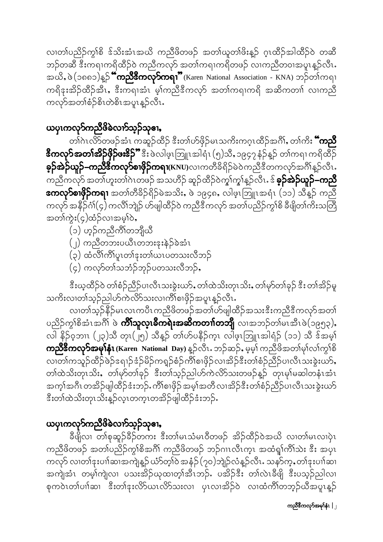လ၊တၢ်ပညိဉ်ကွၢ်စိ ဒ်သိးအံၤအယိ ကညီဖိတဖဉ် အတၢ်ယူတၢ်ဖိးန့ဉ် ဂ့ၤထိဉ်အါထိဉ်ဝဲ တဆီ ဘဉ်တဆီ ဒီးကရၢကရိထိဉ်ဝဲ ကညီကလုာ် အတၢ်ကရၢကရိတဖဉ် လၢကညီတ၀ၢအပူၤန္နဉ်လီၤႉ အယိ, ဖဲ (၁၈၈၁)နှဉ် **"ကညီဒီကလု>်ကရၢ"** (Karen National Association - KNA) ဘဉ်တါကရၢ ကရိဒုးအိဉ်ထိဉ်အီၤ,ဒီးကရၢအံၤ မ့္ပ်ကညီဒီကလုဉ် အတ္ပါကရၢကရိ အဆိကတၢၢ် လၢကညီ ကလှာ်အတၢ်စံဉ်စိၤတဲစိၤအပူၤန္ဉာလီၤႉ

## ယပုၤကလုၥ်ကညီဖိခဲလၢာ်သူဉ်သုဓၢ,

တၢ်ဂၤလိ>်တဖဉ်အံၤ ကဆူဉ်ထိဉ် ဒီးတၢဴဟ်ဖိုဉ်မၤသကိႏကဂ္ၤထိဉ်အဂိၢ်, တၢ်ကိႏ **"ကညီ ဒီကလုၥ်အတၤ်အိဉ်ဖိုဉ်ဖး&ှို"** ဒီး ဖဲလါဖ့ၤဘြူၤအါရံၤ (၅)သိႇ၁၉၄၇ နံဉ်န္ဉာ် တၢ်ကရၢ ကရိထိဉ် **ခ့ဉ်အဲဉ်ယူဉ်–ကညီဒီကလု>်စၢဖှိဉ်ကရၢ**(KNU)လၢကတိခိရိဉ်မဲဝဲကညီဒီတကလု>်အင်္ဂါန္ဉ**်**လီၤႉ ကညီကလုာ် အတပြားတါဂဲၤတဖဉ် အသဟိဉ် ဆူဉ်ထိဉ်ဝဲကွ၊်ကွ၊်န္ဉာ်လီၤႉဒ် **ခ့ဉ်အဲဉ်ယူဉ်–ကညီ အေလု>်စၢဖိုဉ်ကရၢ** အတၢ်တီခိဉ်ရိဉ်မဲအသိး, ဖဲ ၁၉၄၈, လါဖူၤဘြူၤအရံၤ (၁၁) သိန္ဉာ် ကည်ဳိ ကလုာ် အနိဉ်ငံ္ဂါ(၄) ကလိၤ်ဘျဲဉ် ဟ်ဖျါထိဉ်ဝဲ ကညီဒီကလုာ် အတၤ်ပညိဉ်ကွၤ်စိ ခ်ီဖျိတၤ်ကိႏသတြီ အတၢ်ကွဲး(၄)ထံဉ်လၢအမှၢ်ဝဲ,

- (၁) ဟ့ဉ်ကညီကိၢိတဘျီယီ
- (၂) ကညီတဘးပယီၤတဘးဒုးနဲ့ဉ်ခဲအံၤ
- (၃) ထံလိၢ်ကိၢ်ပူးတၢ်ဒုးတ၊်ယၤပတသးလိဘဉ်
- (၄) ကလုာ်တ္ပါသဘုံဉ်ဘုဉ်ပတသးလီဘု**်**,

ဒီးယ့ထိဉ်ဝဲ တၢ်စံဉ်ညီဉ်ပၢလီၤသးခွဲးယာ်,တၢ်ထဲသိးတုၤသိး,တၢ်မှာ်တၢ်ခုဉ် ဒီး တၢ်အိဉ်မူ သကိႏလၢတၢ်သုဉ်ညါဟ်ကဲလိ>်သးလၢကိၢ်စၢဖိုဉ်အပူၤန္ဉာလီၤႉ

လ၊တၢ်သ့ဉ်နိဉ်မၤလၤကပိၤကညီဖိတဖဉ်အတၢ်ဟ်ဖျါထိဉ်အသးဒီးကညီဒီကလုာ်အတၢ် ပညိဉ်ကွၢ်စိအံၤအဂိ်၊ ဖဲ **ကိၢ်သူလ္၊ခ်ီကရဲးအဆိကတၢၢ်တဘို**၊ လၢအဘဉ်တၢ်မၤအီၤဖဲ(၁၉၅၃), လါ နိဉ်ဝ့ဘၤၤ (၂၃)သိ တုၤ(၂၅) သိန္ဉဉ် တၢိဟ်ပနိဉ်က္ၤ လါဖူၤဘြူၤအါရံဉ် (၁၁) သိ ဒ်အမ္ါ **ကညီဒီကလုၥ်အမှၢ်နံၤ** (Karen National Day) န္ဉာ်လီၤႉ ဘဉ်ဆဉ်ႇ မ့မ့ၢ် ကညီဖိအတၢ်မှၢ်လၢ်ကျွှဲစိ လ၊တၢ်ကသူဉ်ထိဉ်ဖဲဉ်ဒရၢဉ်ဒံဉ်မိဉ်ကရှဉ်စံဉ်ကိၢ်စၢဖှိဉ်လ၊အိဉ်ဒီးတၢ်စံဉ်ညီဉ်ပ၊လီၤသးခွဲးယာ်, တၢ်ထဲသိးတုၤသိး, တၢ်မှာ်တၢ်ခုဉ် ဒီးတၢ်သူဉ်ညါဟ်ကဲလိာ်သးတဖဉ်နဉ် တုၤမှၢ်မဆါတနံၤအံၤ အက္ခ္ပ္ပါအဂ္ဂိ၊ တအွိဉ်ဖျထြိဉ်ဒုံးဘုဉ်ႉ ကိုစြ၊ဖိုဉ် အမ္န၊်အတိ လၢအိဉ်ဒီးတျစုံဉ်ညီဉ်ပၢလိၤသးခွဲးယှာ ဒီးတၢ်ထဲသိးတုၤသိးန္ဉာလုၤတက္ၤတအိဉ်ဖျါထိဉ်ဒံးဘဉ်.

# ယပုၤကလုၥ်ကညီဖိခဲလၢာ်သ္၄်သုဧၢ,

ခီဖျိလ၊ တၢ်စုဆူဉ်ခိဉ်တက်း ဒီးတၢ်မၤသံမၤဝီတဖဉ် အိဉ်ထိဉ်ဝဲအယိ လၢတၢ်မၤလၢပုံၤ ကညီဖိတဖဉ် အတၢ်ပညိဉ်ကွၢ်စိအဂိၢ် ကညီဖိတဖဉ် ဘဉ်ဂၢၤလီၤက္ၤ အထံရှ၊်ကိၢ်သဲး ဒီး အပုၤ ကလုာ် လၢတၢ်ဒုးပၢၢ်ဆၢအကျဲနူဉ်ယံာ်တု၊်ဝဲ အနံ့ဉ် $(\gamma$ ဝ)ဘျဲဉ်လံနူဉ်လီၤႉ သနာ်က့ႇတၢ်ဒုးပၢၢ်ဆၢ အကျဲအံၤ တမ္ါကျဲလၢ ပသးအိဉ်ယုထ၊တ္၊်အီၤဘဉ်ႉ ပအိဉ်ဒီး တ၊်လဲၤခီဖျိ ဒီးပသူဉ်ညါလ၊ စုကဝဲၤတၢ်ပၢါဆၢ ဒီးတၢ်ဒုးလိ>်ယၤလိ>်သးလၢ ပုၤလၢအိဉ်ဝဲ လၢထံကိၢ်တဘ္ဉ်ယီအပူၤန္ဉာ်

ကညီဒီကလုၥ်အမု $\mathbf{\hat{a}}$ ၊  $|$  ၂